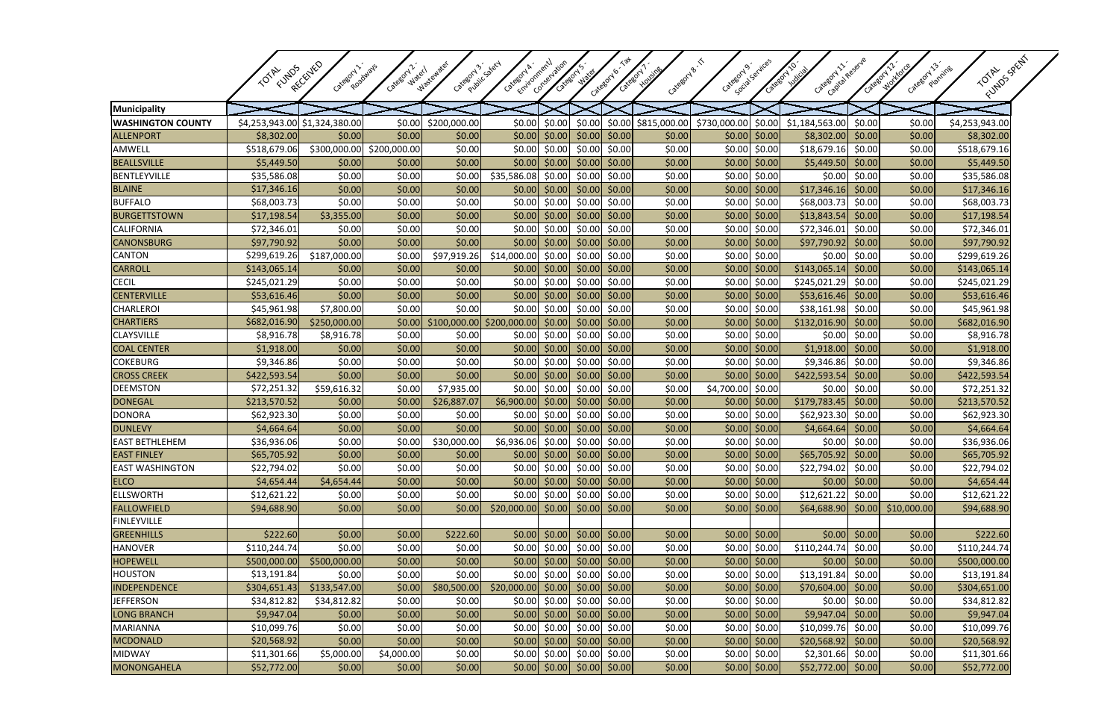|                          |                               |                                    |                       |                        | Emironnentl                | Conservation    |                                                             |                                                             | Category B. T  |                 | Social Services       | Cacoox izokescue    |                 |                                | FUMOS SPEAT              |
|--------------------------|-------------------------------|------------------------------------|-----------------------|------------------------|----------------------------|-----------------|-------------------------------------------------------------|-------------------------------------------------------------|----------------|-----------------|-----------------------|---------------------|-----------------|--------------------------------|--------------------------|
|                          | FUNDS<br><b>TOTAL</b>         | RECEIVED<br>Category 1<br>Roadways | Category 2.<br>Water1 | Wastewater<br>Category | Public saety<br>Category h |                 | Category's'                                                 | Category 6<br>Category,                                     | <b>HOUSING</b> | Category 9'     | Category 10'          |                     | Category 12     | Caregory 13                    | Planning<br><b>TOTAL</b> |
|                          |                               |                                    |                       |                        |                            |                 |                                                             |                                                             |                |                 |                       |                     |                 |                                |                          |
| Municipality             |                               |                                    |                       |                        |                            |                 |                                                             |                                                             |                |                 |                       |                     |                 |                                |                          |
| <b>WASHINGTON COUNTY</b> | \$4,253,943.00 \$1,324,380.00 |                                    | \$0.00                | \$200,000.00           | \$0.00                     | \$0.00          | \$0.00                                                      | \$0.00                                                      | \$815,000.00   | \$730,000.00    | \$0.00                | \$1,184,563.00      | \$0.00          | \$0.00                         | \$4,253,943.00           |
| <b>ALLENPORT</b>         | \$8,302.00                    | \$0.00                             | \$0.00                | \$0.00                 | \$0.00                     | \$0.00          | \$0.00                                                      | \$0.00                                                      | \$0.00         | \$0.00          | $ $ \$0.00            | \$8,302.00          | \$0.00          | \$0.00                         | \$8,302.00               |
| AMWELL                   | \$518,679.06                  | \$300,000.00 \$200,000.00          |                       | \$0.00                 | \$0.00                     | \$0.00          | \$0.00                                                      | \$0.00                                                      | \$0.00         | \$0.00          | \$0.00                | \$18,679.16         | \$0.00          | \$0.00                         | \$518,679.16             |
| <b>BEALLSVILLE</b>       | \$5,449.50                    | \$0.00                             | \$0.00                | \$0.00                 | \$0.00                     | \$0.00          | \$0.00                                                      | \$0.00                                                      | \$0.00         | \$0.00          | \$0.00                | \$5,449.50          | \$0.00          | \$0.00                         | \$5,449.50               |
| <b>BENTLEYVILLE</b>      | \$35,586.08                   | \$0.00                             | \$0.00                | \$0.00                 | \$35,586.08                | \$0.00          | \$0.00                                                      | \$0.00                                                      | \$0.00         | \$0.00          | \$0.00                | \$0.00              | \$0.00          | \$0.00                         | \$35,586.08              |
| <b>BLAINE</b>            | \$17,346.16                   | \$0.00                             | \$0.00                | \$0.00                 | \$0.00                     | \$0.00          | \$0.00                                                      | \$0.00                                                      | \$0.00         | \$0.00          | \$0.00                | \$17,346.16         | \$0.00          | \$0.00                         | \$17,346.16              |
| <b>BUFFALO</b>           | \$68,003.73                   | \$0.00                             | \$0.00                | \$0.00                 | \$0.00                     | \$0.00          | \$0.00                                                      | \$0.00                                                      | \$0.00         | \$0.00          | \$0.00                | \$68,003.7          | \$0.00          | \$0.00                         | \$68,003.73              |
| <b>BURGETTSTOWN</b>      | \$17,198.54                   | \$3,355.00                         | \$0.00                | \$0.00                 | \$0.00                     | \$0.00]         | \$0.00]                                                     | \$0.00                                                      | \$0.00         |                 | $$0.00$ \$0.00        | \$13,843.54         | \$0.00          | \$0.00                         | \$17,198.54              |
| <b>CALIFORNIA</b>        | \$72,346.01                   | \$0.00                             | \$0.00                | \$0.00                 | \$0.00                     | \$0.00          | \$0.00                                                      | \$0.00                                                      | \$0.00         | \$0.00          | \$0.00                | \$72,346.01         | \$0.00          | \$0.00                         | \$72,346.01              |
| <b>CANONSBURG</b>        | \$97,790.92                   | \$0.00                             | \$0.00                | \$0.00                 | \$0.00                     | \$0.00          | \$0.00                                                      | \$0.00                                                      | \$0.00         | \$0.00          | \$0.00                | \$97,790.92         | \$0.00          | \$0.00                         | \$97,790.92              |
| <b>CANTON</b>            | \$299,619.26                  | \$187,000.00                       | \$0.00                | \$97,919.26            | \$14,000.00                | \$0.00          | \$0.00                                                      | \$0.00                                                      | \$0.00         | \$0.00          | \$0.00                | \$0.00              | \$0.00          | \$0.00                         | \$299,619.26             |
| <b>CARROLL</b>           | \$143,065.14                  | \$0.00                             | \$0.00                | \$0.00                 | \$0.00                     | \$0.00          | \$0.00                                                      | \$0.00                                                      | \$0.00         | \$0.00          | \$0.00                | \$143,065.14        | \$0.00          | \$0.00                         | \$143,065.14             |
| <b>CECIL</b>             | \$245,021.29                  | \$0.00                             | \$0.00                | \$0.00                 | \$0.00                     | \$0.00          | \$0.00                                                      | \$0.00                                                      | \$0.00         | \$0.00          | \$0.00                | \$245,021.29        | \$0.00          | \$0.00                         | \$245,021.29             |
| <b>CENTERVILLE</b>       | \$53,616.46                   | \$0.00                             | \$0.00                | \$0.00                 | \$0.00                     | \$0.00          | \$0.00                                                      | \$0.00                                                      | \$0.00         | \$0.00          | $ $ \$0.00            | \$53,616.46         | \$0.00          | \$0.00                         | \$53,616.46              |
| <b>CHARLEROI</b>         | \$45,961.98                   | \$7,800.00                         | \$0.00                | \$0.00                 | \$0.00                     | \$0.00          | \$0.00                                                      | \$0.00                                                      | \$0.00         | \$0.00          | \$0.00                | \$38,161.98         | \$0.00          | \$0.00                         | \$45,961.98              |
| <b>CHARTIERS</b>         | \$682,016.90                  | \$250,000.00                       | \$0.00                | \$100,000.00           | \$200,000.00               | \$0.00          | \$0.00                                                      | \$0.00                                                      | \$0.00         | \$0.00          | \$0.00                | \$132,016.90        | \$0.00          | \$0.00                         | \$682,016.90             |
| <b>CLAYSVILLE</b>        | \$8,916.78                    | \$8,916.78                         | \$0.00                | \$0.00                 | \$0.00                     | \$0.00          | \$0.00                                                      | \$0.00                                                      | \$0.00         | \$0.00          | \$0.00                | \$0.00              | \$0.00          | \$0.00                         | \$8,916.78               |
| <b>COAL CENTER</b>       | \$1,918.00                    | \$0.00                             | \$0.00                | \$0.00                 | \$0.00                     | \$0.00          | \$0.00                                                      | \$0.00                                                      | \$0.00         | \$0.00          | \$0.00                | \$1,918.00          | \$0.00          | \$0.00                         | \$1,918.00               |
| <b>COKEBURG</b>          | \$9,346.86                    | \$0.00                             | \$0.00                | \$0.00                 | \$0.00                     | \$0.00          | \$0.00                                                      | \$0.00                                                      | \$0.00         | \$0.00          | \$0.00                | \$9,346.86          | \$0.00          | \$0.00                         | \$9,346.86               |
| <b>CROSS CREEK</b>       | \$422,593.54                  | \$0.00                             | \$0.00                | \$0.00                 | \$0.00                     | \$0.00          | \$0.00                                                      | \$0.00                                                      | \$0.00         | \$0.00          | \$0.00                | \$422,593.54        | \$0.00          | \$0.00                         | \$422,593.54             |
| <b>DEEMSTON</b>          | \$72,251.32                   | \$59,616.32                        | \$0.00                | \$7,935.00             | \$0.00                     | \$0.00          | \$0.00                                                      | \$0.00                                                      | \$0.00         | \$4,700.00      | \$0.00                | \$0.00              | \$0.00          | \$0.00                         | \$72,251.32              |
| <b>DONEGAL</b>           | \$213,570.52                  | \$0.00                             | \$0.00                | \$26,887.07            | \$6,900.00                 | \$0.00          | \$0.00                                                      | \$0.00                                                      | \$0.00         | \$0.00          | \$0.00                | \$179,783.45        | \$0.00          | \$0.00                         | \$213,570.52             |
| <b>DONORA</b>            | \$62,923.30                   | \$0.00                             | \$0.00                | \$0.00                 | \$0.00                     | \$0.00          | \$0.00                                                      | \$0.00                                                      | \$0.00         | \$0.00          | \$0.00                | \$62,923.30         | \$0.00          | \$0.00                         | \$62,923.30              |
| <b>DUNLEVY</b>           | \$4,664.64                    | \$0.00                             | \$0.00                | \$0.00                 | \$0.00                     | \$0.00          | \$0.00                                                      | \$0.00                                                      | \$0.00         | \$0.00          | \$0.00                | \$4,664.64          | \$0.00          | \$0.00                         | \$4,664.64               |
| <b>EAST BETHLEHEM</b>    | \$36,936.06                   | \$0.00                             | \$0.00                | \$30,000.00            | \$6,936.06                 | \$0.00          | \$0.00                                                      | \$0.00                                                      | \$0.00         | \$0.00          | \$0.00                | \$0.00              | \$0.00          | \$0.00                         | \$36,936.06              |
| <b>EAST FINLEY</b>       | \$65,705.92                   | \$0.00                             | \$0.00                | \$0.00                 |                            |                 | $\vert$ \$0.00 \$0.00 \$0.00 \$0.00                         |                                                             | \$0.00]        |                 | $\vert$ \$0.00 \$0.00 | $$65,705.92$ \$0.00 |                 | \$0.00                         | \$65,705.92              |
| <b>EAST WASHINGTON</b>   | \$22,794.02                   | \$0.00                             | \$0.00                | \$0.00                 |                            | $$0.00$ $$0.00$ | $$0.00$ \$0.00                                              |                                                             | \$0.00         |                 | $$0.00 \$0.00$        | \$22,794.02 \$0.00  |                 | \$0.00                         | \$22,794.02              |
| <b>ELCO</b>              | \$4,654.44                    | \$4,654.44                         | \$0.00                | \$0.00                 |                            |                 | $\vert$ \$0.00 $\vert$ \$0.00 $\vert$ \$0.00 \$0.00 $\vert$ |                                                             | \$0.00         |                 | $\vert$ \$0.00 \$0.00 |                     | $$0.00$ $$0.00$ | \$0.00                         | \$4,654.44               |
| <b>ELLSWORTH</b>         | \$12,621.22                   | \$0.00                             | \$0.00                | \$0.00                 | \$0.00                     | \$0.00          | \$0.00                                                      | \$0.00                                                      | \$0.00         |                 | $$0.00$ \$0.00        | \$12,621.22         | \$0.00          | \$0.00                         | \$12,621.22              |
| <b>FALLOWFIELD</b>       | \$94,688.90                   | \$0.00                             | \$0.00                | \$0.00                 | $$20,000.00$ \$0.00        |                 | $\vert$ \$0.00 \$0.00                                       |                                                             | \$0.00         |                 | $$0.00$ $$0.00$       |                     |                 | \$64,688.90 \$0.00 \$10,000.00 | \$94,688.90              |
| <b>FINLEYVILLE</b>       |                               |                                    |                       |                        |                            |                 |                                                             |                                                             |                |                 |                       |                     |                 |                                |                          |
| <b>GREENHILLS</b>        | \$222.60                      | \$0.00                             | \$0.00                | \$222.60               |                            |                 | $\vert$ \$0.00 \$0.00 \$0.00 \$0.00                         |                                                             | \$0.00         |                 | $$0.00$ \$0.00        |                     | $$0.00$ \$0.00  | \$0.00                         | \$222.60                 |
| <b>HANOVER</b>           | \$110, 244.74                 | \$0.00                             | \$0.00                | \$0.00                 |                            |                 | $\vert$ \$0.00 $\vert$ \$0.00 $\vert$ \$0.00 \$0.00         |                                                             | \$0.00         |                 | $$0.00 \$0.00$        | \$110,244.74        | \$0.00          | \$0.00                         | \$110,244.74             |
| <b>HOPEWELL</b>          | \$500,000.00                  | \$500,000.00                       | \$0.00                | \$0.00                 |                            |                 | $\vert$ \$0.00 \$0.00 \$0.00 \$0.00                         |                                                             | \$0.00         |                 | $$0.00$ $$0.00$       |                     | $$0.00$ \$0.00  | \$0.00                         | \$500,000.00             |
| <b>HOUSTON</b>           | \$13,191.84                   | \$0.00                             | \$0.00                | \$0.00                 |                            | $$0.00$ \$0.00  | \$0.00                                                      | \$0.00                                                      | \$0.00         |                 | $$0.00$ \$0.00        | \$13,191.84         | \$0.00          | \$0.00                         | \$13,191.84              |
| INDEPENDENCE             | \$304,651.43                  | \$133,547.00                       | \$0.00                | \$80,500.00            | \$20,000.00                | \$0.00]         |                                                             | $\vert$ \$0.00 \$0.00                                       | \$0.00         |                 | $\vert$ \$0.00 \$0.00 | \$70,604.00         | \$0.00          | \$0.00                         | \$304,651.00             |
| <b>JEFFERSON</b>         | \$34,812.82                   | \$34,812.82                        | \$0.00                | \$0.00                 |                            | $$0.00$ \$0.00  | \$0.00                                                      | \$0.00                                                      | \$0.00         |                 | $$0.00 \$0.00$        |                     | $$0.00$ \$0.00  | \$0.00                         | \$34,812.82              |
| <b>LONG BRANCH</b>       | \$9,947.04                    | \$0.00                             | \$0.00                | \$0.00                 |                            |                 | $\vert$ \$0.00 \$0.00 \$0.00 \$0.00                         |                                                             | \$0.00         |                 | $\vert$ \$0.00 \$0.00 | $$9,947.04$ \$0.00  |                 | \$0.00                         | \$9,947.04               |
| <b>MARIANNA</b>          | \$10,099.76                   | \$0.00                             | \$0.00                | \$0.00                 |                            |                 | $\vert$ \$0.00 $\vert$ \$0.00 $\vert$ \$0.00 \$0.00         |                                                             | \$0.00         |                 | $$0.00$ \$0.00        | \$10,099.76 \$0.00  |                 | \$0.00                         | \$10,099.76              |
| <b>MCDONALD</b>          | \$20,568.92                   | \$0.00                             | \$0.00                | \$0.00                 |                            |                 | $\vert$ \$0.00 \$0.00 \$0.00 \$0.00                         |                                                             | \$0.00         |                 | $$0.00$ $$0.00$       | $$20,568.92$ \$0.00 |                 | \$0.00                         | \$20,568.92              |
| <b>MIDWAY</b>            | \$11,301.66                   | \$5,000.00                         | \$4,000.00            | \$0.00                 | \$0.00                     | \$0.00          |                                                             | $$0.00$ \$0.00                                              | \$0.00         |                 | $$0.00$ \$0.00        | $$2,301.66$ \$0.00  |                 | \$0.00                         | \$11,301.66              |
| MONONGAHELA              | \$52,772.00                   | \$0.00                             | \$0.00]               | \$0.00                 |                            |                 |                                                             | $\vert$ \$0.00 $\vert$ \$0.00 $\vert$ \$0.00 \$0.00 $\vert$ | \$0.00         | $$0.00$ $$0.00$ |                       | \$52,772.00 \$0.00  |                 | \$0.00                         | \$52,772.00              |